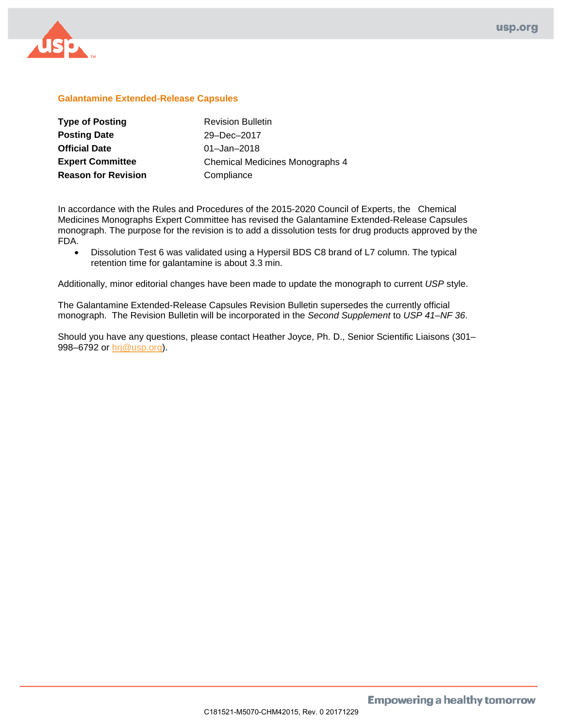

## **Galantamine Extended-Release Capsules**

| <b>Type of Posting</b>     | <b>Revision Bulletin</b>        |
|----------------------------|---------------------------------|
| <b>Posting Date</b>        | 29-Dec-2017                     |
| <b>Official Date</b>       | $01 -$ Jan $-2018$              |
| <b>Expert Committee</b>    | Chemical Medicines Monographs 4 |
| <b>Reason for Revision</b> | Compliance                      |

In accordance with the Rules and Procedures of the 2015-2020 Council of Experts, the Chemical Medicines Monographs Expert Committee has revised the Galantamine Extended-Release Capsules monograph. The purpose for the revision is to add a dissolution tests for drug products approved by the FDA.

• Dissolution Test 6 was validated using a Hypersil BDS C8 brand of L7 column. The typical retention time for galantamine is about 3.3 min.

Additionally, minor editorial changes have been made to update the monograph to current *USP* style.

The Galantamine Extended-Release Capsules Revision Bulletin supersedes the currently official monograph. The Revision Bulletin will be incorporated in the *Second Supplement* to *USP 41–NF 36*.

Should you have any questions, please contact Heather Joyce, Ph. D., Senior Scientific Liaisons (301– 998–6792 or [hrj@usp.org\)](mailto:hrj@usp.org).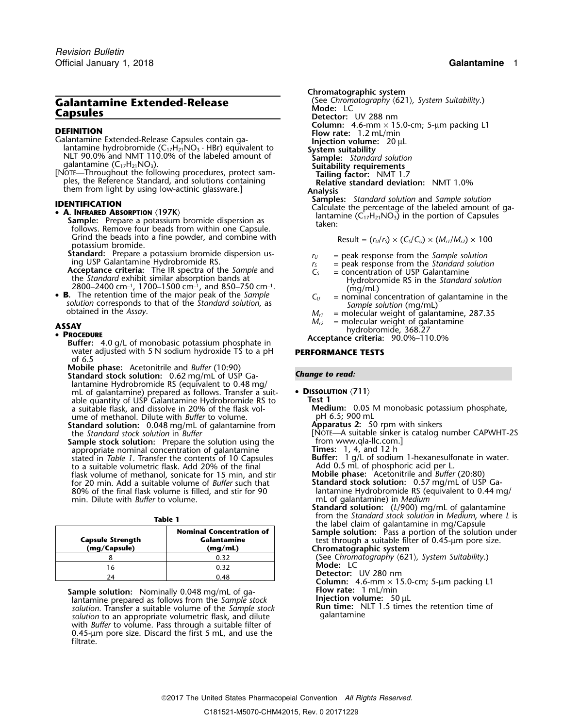# **Galantamine Extended-Release** (See Chromatography **Calantamine Extended-Release Capsules Capsules Detector:** UV 288 nm

- NLT 90.0% and NMT 110.0% of the labeled amount of **Sample:** *Standard solution*<br>galantamine (C<sub>17</sub>H<sub>21</sub>NO<sub>3</sub>). Suitability requirements
- Frailing factor: NMT 1.7<br>ples, the Reference Standard, and solutions containing **Example 1998**<br>Relative standard deviation: NMT 1.0% ples, the Reference Standard, and solutions containing

- - **Sample:** Prepare a potassium bromide dispersion as **Sample:** Prepare a potassium bromide dispersion as taken: Grind the beads into a fine powder, and combine with<br>potassium bromide.<br>**Standard:** Prepare a potassium bromide dispersion us-

**Standard:** Prepare a potassium bromide dispersion us-<br>ing USP Galantamine Hydrobromide RS.<br>**Acceptance criteria:** The IR spectra of the Sample and  $r_s$  = peak response from the Standard solution<br>**Acceptance criteria:** Th

- **Acceptance criteria:** The IR spectra of the *Sample* and  $C_s$  = concentration of USP Galantamine the *Standard* exhibit similar absorption bands at  $\begin{array}{c} H_1 \to H_1 \to H_2 \to H_1 \to H_2 \to H_2 \to H_1 \to H_2 \to H_2 \to H_2 \to H_2 \to H_2 \to H_2 \$
- 2800–2400 cm<sup>-1</sup>, 1700–1500 cm<sup>-1</sup>, and 850–750 cm<sup>-1</sup>. The retention time of the major peak of the Sample • **B**. **B.** The retention time of the major peak of the Sample  $C_U$  = nominal concentration of galantamine in solution corresponds to that of the Standard solution, as  $S$  obtained in the Assay.<br>  $M_{r1}$  = molecular weight of ga

**Buffer:** 4.0 g/L of monobasic potassium phosphate in water adjusted with 5 N sodium hydroxide TS to a pH **PERFORMANCE TESTS** of 6.5

**Mobile phase:** Acetonitrile and *Buffer* (10:90) **Standard stock solution:** *Change to read:* 0.62 mg/mL of USP Galantamine Hydrobromide RS (equivalent to 0.48 mg/ mL of galantamine) prepared as follows. Transfer a suit- • **<sup>D</sup>ISSOLUTION** 〈**711**〉 able quantity of USP Galantamine Hydrobromide RS to **Test 1** a suitable flask, and dissolve in 20% of the flask vol- **Medium:** 0.05 M monobasic potassium phosphate,

ume of methanol. Dilute with *Buffer* to volume.<br> **Example of the Standard solution:** 0.048 mg/mL of galantamine from **Apparatus 2:** 50 rpm with sinkers **Standard solution:** 0.048 mg/mL of galantamine from the *Standard stock solution* in *Buffer* 

Sample stock solution: Prepare the solution using the appropriate nominal concentration of galantamine<br>stated in *Table 1*. Transfer the contents of 10 Capsules to a suitable volumetric flask. Add 20% of the final flask volume of methanol, sonicate for 15 min, and stir **Mobile phase:** Acetonitrile and *Buffer* (20:80) for 20 min. Add a suitable volume of *Buffer* such that 80% of the final flask volume is filled, and stir for 90 lantamine Hydrobromide RS (equivalent to 0.44 mg/<br>min. Dilute with *Buffer* to volume.<br>mL of galantamine) in *Medium* min. Dilute with *Buffer* to volume.

| $\sim$<br>$\sim$ |  |
|------------------|--|
|------------------|--|

| <b>Capsule Strength</b><br>(mg/Capsule) | <b>Nominal Concentration of</b><br>Galantamine<br>(mq/mL) |
|-----------------------------------------|-----------------------------------------------------------|
|                                         | 0.32                                                      |
|                                         | 0.32                                                      |
|                                         |                                                           |

**Sample solution:** Nominally 0.048 mg/mL of ga-<br>Injection volume: 50 µL lantamine prepared as follows from the *Sample stock* **Figure Figure Figure**: 50 µL lantamine prepared as follows from the *Sample stock* **Injection volume:**<sup>50</sup> <sup>µ</sup><sup>L</sup> **Run time:** Nun time: Networks the Sample stock<br> **Run time:** Networks the *solution* to an appropriate volumetric flask, and dilute solution to an appropriate volumetric flask, and dilute with *Buffer* to volume. Pass through a suitable filter of 0.45-µm pore size. Discard the first 5 mL, and use the filtrate.

**Chromatographic system**<br>(See Chromatography  $(621)$ , System Suitability.) **Column:** 4.6-mm × 15.0-cm; 5-µm packing L1<br> **Calantamine Extended-Release Capsules contain ga- Injection volume:** 1.2 mL/min<br> **Injection volume:** 20 µL<br> **Injection volume:** 20 µL<br> **Injection volume:** 20 µL them from light by using low-actinic glassware.]<br>**Analysis Analysis Analysis Analysis Analysis Analysis Analysis** *Samples: Standard solution* and *Sample solution* **Samples:** *Standard solution* and *Sample* solution<br>
• **A. INFRARED ABSORPTION** (197K)<br> **• A. INFRARED ABSORPTION** (197K)<br> **Example:** Presenting (C<sub>17</sub>H<sub>21</sub>NO<sub>3</sub>) in the portion of Capsules

$$
Result = (r_U/r_S) \times (C_S/C_U) \times (M_{r1}/M_{r2}) \times 100
$$

- 
- 
- 
- $(mg/mL)$ <br>= nominal concentration of galantamine in the
- 
- **ASSAY** *M<sub>r2</sub>* = molecular weight of galantamine<br>  **PROCEDURE PROCEDURE PROCEDURE PROCEDURE PROCEDURE PROCEDURE PLUES 10.01 PLUES PLUES PLUES PLUES PLUES PLUES PLUES**

- -

[NOTE—A suitable sinker is catalog number CAPWHT-2S from www.qla-llc.com.]

**Times:** 1, 4, and 12 h<br>**Buffer:** 1 g/L of sodium 1-hexanesulfonate in water.<br>Add 0.5 mL of phosphoric acid per L.<br>**Mobile phase:** Acetonitrile and *Buffer* (20:80)

**Standard solution:** (*L*/900) mg/mL of galantamine from the Standard stock solution in Medium, where *L* is from the *Standard stock solution* in *Medium*, where *L* is **Table 1** the label claim of galantamine in mg/Capsule

**Nominal Concentration of standle Sample solution:** Pass a portion of the solution under test through a suitable filter of 0.45-μm pore size. **(mg/Capsule) (mg/mL) Chromatographic system**

<sup>8</sup> 0.32 (See *Chromatography* 〈621〉*, System Suitability*.) **Mode:** LC

<sup>24</sup> 0.48 **Detector:** UV 280 nm **Column:** 4.6-mm × 15.0-cm; 5-µm packing L1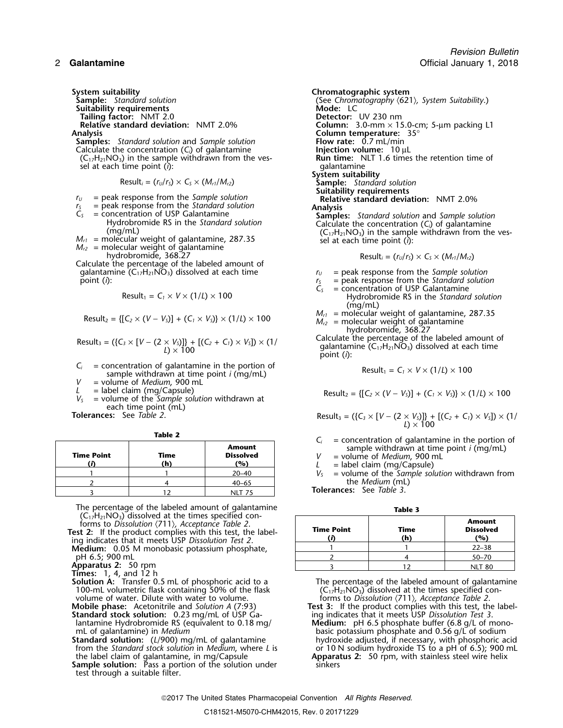- **Suitability requirements<br><b>Tailing factor:** NMT 2.0 **Tailing factor:** NMT 2.0 **Detector:** UV 230 nm
- **Samples:** *Standard solution* and *Sample solution* **Flow rate:** 0.7 mL/min Calculate the concentration (C<sub>i</sub>) of galantamine **Flow Flow The Injection volume:** 10 µL Calculate the concentration (*C<sub>i</sub>*) of galantamine **Injection volume:** 10  $\mu$ L<br>(*C*<sub>12</sub>H<sub>21</sub>NO<sub>3</sub>) in the sample withdrawn from the ves-**Run time:** NLT 1.6 times the retention time of  $(C_{17}H_{21}NO_3)$  in the sample withdrawn from the ves-<br>sel at each time point (*i*): qalantamine

- $r_U$  = peak response from the *Sample solution*<br> $r_S$  = peak response from the *Standard solution*
- 
- 
- 
- 
- $M_{r2}$  = molecular weight of galantamine<br>
hydrobromide, 368.27<br>
Calculate the percentage of the labeled amount of<br>
galantamine (C<sub>17</sub>H<sub>21</sub>NO<sub>3</sub>) dissolved at each time<br>  $r_U$  = peak response from the *Sample solution* galantamine (C<sub>17</sub>H<sub>21</sub>NO<sub>3</sub>) dissolved at each time

$$
Result_1 = C_1 \times V \times (1/L) \times 100
$$

Result<sub>2</sub> = {[
$$
C_2 \times (V - V_s)
$$
] + ( $C_1 \times V_s$ )} \times (1/L) \times 100

Result<sub>3</sub> = (
$$
\{C_3 \times [V - (2 \times V_3)]\} + [(C_2 + C_1) \times V_3] \times (1 / L) \times 100
$$

*C<sub>i</sub>* = concentration of galantamine in the portion of sample withdrawn at time point *i* (mg/mL)  $V =$  volume of *Medium* 900 ml

- *v* = volume of *Medium*, 900 mL<br>*v* = label claim (mg/Capsule)
- 
- L = label claim (mg/Capsule)<br>  $V_s$  = volume of the Sample solution withdrawn at Result<sub>2</sub> = {[C<sub>2</sub> × (V V<sub>s</sub>)] + (C<sub>1</sub> × V<sub>s</sub>)} × (1/L) × 100 each time point (mL)

*Tolerances:* See *Table 2.* 

| <b>Time Point</b> | Time<br>'n | <b>Amount</b><br><b>Dissolved</b><br>'%) |
|-------------------|------------|------------------------------------------|
|                   |            | $20 - 40$                                |
|                   |            | $40 - 65$                                |
|                   |            | <b>NIT 75</b>                            |

The percentage of the labeled amount of galantamine  $(C_{17}H_{21}NO_3)$  dissolved at the times specified con-

forms to Dissolution (711), Acceptance Table 2.<br>Test 2: If the product complies with this test, the labeling indicates that it meets USP Dissolution Test 2. **Medium:** 0.05 M monobasic potassium phosphate,

 $pH 6.5; 900$  mL

**Apparatus 2: 50 rpm** 

**Times:** 1, 4, and 12 h

- 100-mL volumetric flask containing 50% of the flask  $(C_1, H_2, NO_3)$  dissolved at the times specified con-<br>volume of water. Dilute with water to volume.<br>2. volume of water. Dilute with water to *volume*.
- 
- **Standard stock solution:** 0.23 mg/mL of USP Ga-<br>lantamine Hydrobromide RS (equivalent to 0.18 mg/
- the label claim of galantamine, in mg/Capsule **Apparatus 2:** 50 rpm, with stainless steel wire helix **Sample solution:** Pass a portion of the solution under sinkers
- test through a suitable filter.

**System suitability**<br> **Sample:** Standard solution **Chromatographic system**<br> **Commatography**  $(62$ **Sample:** *Standard solution* (See *Chromatography* 〈621〉*, System Suitability*.) **Relative standard deviation:** NMT 2.0% **Column:** 3.0-mm × 15.0-cm; 5-µm packing L1 **Analysis Column temperature:** 35° sel at each time point (*i*): galantamine<br>System suitability  $\text{Result}_i = (r_U/r_S) \times C_S \times (M_{r1}/M_{r2})$  **Sample:** *Standard solution* **Suitability requirements**  $M_{r1}$  = peak response from the *Standard solution*<br>  $C_5$  = concentration of USP Galantamine<br>  $M_{r2}$  = molecular weight of galantamine, 287.35<br>  $M_{r2}$  = molecular weight of galantamine, 287.35<br>  $M_{r2}$  = molecular wei

$$
Result_i = (r_U/r_S) \times C_S \times (M_{r1}/M_{r2})
$$

- 
- 
- point (*i*): *r*<sub>S</sub> = peak response from the *Standard solution*  $r_s$  = peak response from the *Standard solution*  $C_s$  = concentration of USP Galantamine  $=$  concentration of USP Galantamine Result<sup>1</sup> <sup>=</sup>*C<sup>1</sup>* <sup>×</sup> *<sup>V</sup>* <sup>×</sup> (1/*L*) ×<sup>100</sup> Hydrobromide RS in the *Standard solution* (mg/mL)
	- $M_{r1}$  = molecular weight of galantamine, 287.35<br> $M_{r2}$  = molecular weight of galantamine

hydrobromide, 368.27

Calculate the percentage of the labeled amount of galantamine  $(C_{17}H_{21}NO_3)$  dissolved at each time point (*i*):

$$
Result_1 = C_1 \times V \times (1/L) \times 100
$$

$$
Result_3 = (\{C_3 \times [V - (2 \times V_3)]\} + [(C_2 + C_1) \times V_3]) \times (1 / L)
$$

**Table 2**<br> **Amount**<br> **C**<sub>i</sub> = concentration of galantamine in the portion of<br> **Time**<br> **Dissolved**<br>  $V$  = volume of *Medium*, 900 mL

 $L =$  label claim (mg/Capsule)<br> $V_s =$  volume of the *Sample sol* = volume of the *Sample solution* withdrawn from the *Medium* (mL)

**Tolerances:** See Table 3.

| --------          |             |                                          |  |
|-------------------|-------------|------------------------------------------|--|
| <b>Time Point</b> | Time<br>'n) | <b>Amount</b><br><b>Dissolved</b><br>'%ነ |  |
|                   |             | $22 - 38$                                |  |
|                   |             | $50 - 70$                                |  |
|                   |             | <b>NLT 80</b>                            |  |

**Solution A:** Transfer 0.5 mL of phosphoric acid to a  $\hbox{The percentage of the labeled amount of galantamine}$ **Test 3:** If the product complies with this test, the label-<br>ing indicates that it meets USP Dissolution Test 3. lantamine Hydrobromide RS (equivalent to 0.18 mg/ **Medium:** pH 6.5 phosphate buffer (6.8 g/L of monomL of galantamine) in *Medium* **Standard solution:** (L/900) mg/mL of galantamine<br> **Standard solution:** (L/900) mg/mL of basic potassium phosphate and 0.56 g/L of sodium **Standard solution:** (*L*/900) mg/mL of galantamine hydroxide adjusted, if necessary, with phosphoric acid from the *Standard stock solution* in *Medium*, where *L* is hear 10 N sodium hydroxide TS to a pH of 6.5); 900 mL or 10 N sodium hydroxide TS to a pH of 6.5); 900 mL<br>**Apparatus 2:** 50 rpm, with stainless steel wire helix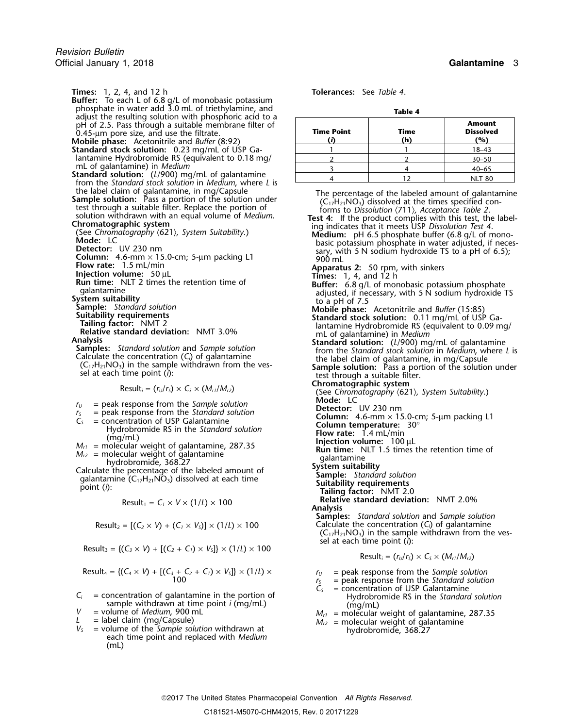**Times:** 1, 2, 4, and 12 h **Tolerances:** See *Table 4*.

- **Buffer:** To each L of 6.8 g/L of monobasic potassium<br>phosphate in water add 3.0 mL of triethylamine, and <sup>p</sup>hosphate in water add 3.0 mL of triethylamine, and **Table 4** adjust the resulting solution with phosphoric acid to a pH of 2.5. Pass through a suitable membrane filter of **0.45-um pore size, and use the filtrate.**
- 
- **Standard stock solution:** 0.23 mg/mL of USP Ga- 1 1 1 1 1 1 1 18–43 lantamine Hydrobromide RS (equivalent to 0.18 mg/ mL of galantamine) in *Medium*
- **Standard solution:** (*L*/900) mg/mL of galantamine from the *Standard stock solution* in *Medium*, where *L* is the label claim of galantamine, in mg/Capsule **Sample solution:** Pass a portion of the solution under test th
- 
- 
- 
- 
- 
- 
- 
- 
- 
- 
- 
- 

- 
- 
- 
- 

- 
- 
- 
- 
- 
- $M_{r_1}$  = peak response from the *Sample solution*<br>  $M_{r_2}$  = peak response from the *Standard solution*<br>  $M_{r_1}$  = concentration of USP Galantamine<br>  $M_{r_2}$  = molecular weight of galantamine, 287.35<br>  $M_{r_2}$  = molec

$$
Result_1 = C_1 \times V \times (1/L) \times 100
$$

$$
Result_2 = [(C_2 \times V) + (C_1 \times V_5)] \times (1/L) \times 100
$$

Result<sub>3</sub> = {
$$
(C_3 \times V)
$$
 +  $[(C_2 + C_1) \times V_5]$ } × (1/L) × 100

Result<sub>4</sub> = {
$$
(C_4 \times V)
$$
 + [ $(C_3 + C_2 + C_1) \times V_5$ ]}  $\times$  (1/*L*)  $\times$   
100

- *C<sub>i</sub>* = concentration of galantamine in the portion of the *Standard solution* sample withdrawn at time point *i* (mg/mL) (mg/mL)
- 
- 
- V = volume of Medium, 900 mL<br>  $L$  = label claim (mg/Capsule)<br>  $V_s$  = volume of the *Sample solution* withdrawn at<br>
each time point and replaced with *Medium*<br>
each time point and replaced with *Medium*<br>
each time point an (mL)

| adjust the resulting solution with phosphoric acid to a<br>pH of 2.5. Pass through a suitable membrane filter of<br>0.45-um pore size, and use the filtrate.<br><b>Mobile phase:</b> Acetonitrile and <i>Buffer</i> (8:92)                                                                                        | <b>Time Point</b> | Time<br>(h) | <b>Amount</b><br><b>Dissolved</b><br>(%) |
|-------------------------------------------------------------------------------------------------------------------------------------------------------------------------------------------------------------------------------------------------------------------------------------------------------------------|-------------------|-------------|------------------------------------------|
| Standard stock solution: 0.23 mg/mL of USP Ga-                                                                                                                                                                                                                                                                    |                   |             | $18 - 43$                                |
| lantamine Hydrobromide RS (equivalent to 0.18 mg/                                                                                                                                                                                                                                                                 |                   |             | $30 - 50$                                |
| mL of galantamine) in Medium                                                                                                                                                                                                                                                                                      |                   |             | $40 - 65$                                |
| <b>Standard solution:</b> $(L/900)$ mg/mL of galantamine<br>. As a second as a contract of the second second and $\mathcal{L}^{\mathcal{A}}$ , and a contract $\mathcal{A}^{\mathcal{A}}$ , and a contract of the second second second second second second second second second second second second second seco |                   |             | <b>NLT 80</b>                            |

the label claim of galantamine, in mg/Capsule and the interest through a suitable filter. Replace the abertic station of the solution with an equal other of the solution with an equal other as solution with an equal other

- 
- 
- 
- 
- 
- 
- 
- 
- **Chromatographic system**<br>
(See *Chromatography*  $\langle 621 \rangle$ *, System Suitability.)*<br> **Mode:** LC

- 
- 
- 
- 
- 
- -
	-
	-
- Relative standard deviation: NMT 2.0%<br>Analysis
- **Samples:** *Standard solution* and *Sample solution* Result Calculate the concentration (*C*<sub>*i*</sub>) of galantamine  $(C_{17}H_{21}NO_3)$  in the sample withdrawn from the vessel at each time point ( $\hat{i}$ ):

$$
Result_i = (r_U/r_S) \times C_S \times (M_{r1}/M_{r2})
$$

- 
- $r_U$  = peak response from the Sample solution<br> $r_S$  = peak response from the Standard solution<br> $C_S$  = concentration of USP Galantamine
- = concentration of USP Galantamine
- 
-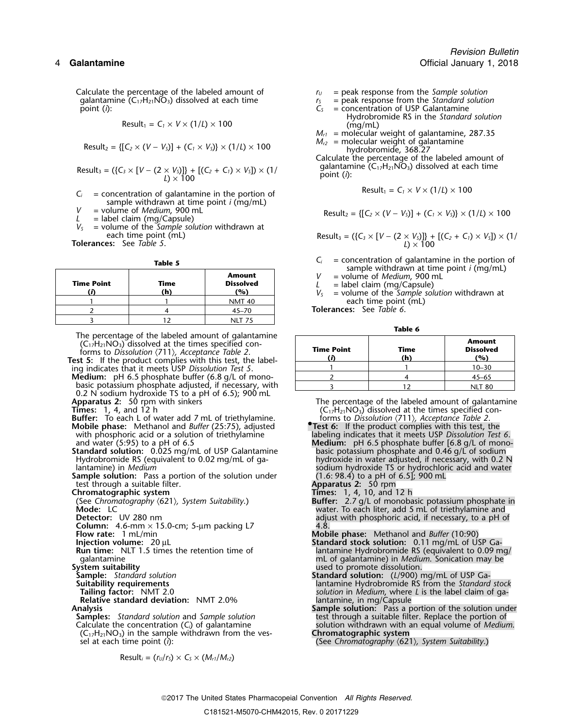Calculate the percentage of the labeled amount of  $r_U =$  peak response from the *Sample solution*<br>qalantamine (C<sub>17</sub>H<sub>21</sub>NO<sub>3</sub>) dissolved at each time  $r_S =$  peak response from the *Standard solution* galantamine (C<sub>17</sub>H<sub>21</sub>NO<sub>3</sub>) dissolved at each time *r<sub>S</sub> r<sub>S</sub>* = *point* (*i*): *C<sub>S</sub>* 

$$
Result_1 = C_1 \times V \times (1/L) \times 100
$$

Result<sub>2</sub> = {[
$$
C_2 \times (V - V_s)
$$
] + ( $C_1 \times V_s$ )}  $\times$  (1/ $L$ )  $\times$  100

$$
Result_3 = (\{C_3 \times [V - (2 \times V_3)]\} + [(C_2 + C_1) \times V_3]) \times (1 / L) \times 100
$$

- $C_i$  = concentration of galantamine in the portion of sample withdrawn at time point *i* (mg/mL) = volume of *Medium*, 900 mL
- 
- 

*V<sup>S</sup>* = volume of the *Sample solution* withdrawn at

| <b>Time Point</b> | Time<br>(h) | <b>Amount</b><br><b>Dissolved</b><br>'%) |
|-------------------|-------------|------------------------------------------|
|                   |             | <b>NMT 40</b>                            |
|                   |             | $45 - 70$                                |
|                   |             |                                          |

The percentage of the labeled amount of galantamine<br>  $(C_{17}H_{21}NO_3)$  dissolved at the times specified con-<br>
forms to *Dissolution*  $\langle 711 \rangle$ , *Acceptance Table 2*.<br> **Time Point Time (h) Considers (i) Considers (i)** 

**Medium:** pH 6.5 phosphate buffer (6.8 g/L of monobasic potassium phosphate adjusted, if necessary, with 0.2 N sodium hydroxide TS to a pH of 6.5); 900 mL Apparatus 2: 50 rpm with sinkers

**Buffer:** To each L of water add 7 mL of triethylamine.<br>**Mobile phase:** Methanol and *Buffer* (25:75), adjusted **Mobile phase:** Methanol and *Buffer* (25:75), adjusted **•.Test 6:** If the product complies with this test, the with phosphoric acid or a solution of triethylamine labeling indicates that it meets USP *Dissolution Test 6*.

**Standard solution:** 0.025 mg/mL of USP Galantamine basic potassium phosphate and 0.46 g/L of sodium

Sample solution: Pass a portion of the solution under test through a suitable filter.<br>**Chromatographic system** External of the system of the conduct of the conduct of the conduct of the conduct of the conduct of the chromatographic system of the chromatography (621), System Suitability.) **Chromatography** (621), System Suitability.)

- 
- 
- **Detector:** UV 280 nm<br> **Column:** 4.6-mm × 15.0-cm; 5-µm packing L7 4.8<br> **Flow rate:** 1 mL/min
- 
- 
- 
- 
- 
- 
- 

**Relative standard deviation:** NMT 2.0%

 $(C_{17}H_{21}NO_3)$  in the sample withdrawn from the ves-

$$
Result_i = (r_U/r_S) \times C_S \times (M_{r1}/M_{r2})
$$

- 
- 
- point (*i*): *C<sup>S</sup>* = concentration of USP Galantamine
	- Hydrobromide RS in the *Standard solution*  $(mq/mL)$
- $M_{r1}$  = molecular weight of galantamine, 287.35
- $M_{r2}$  = molecular weight of galantamine hydrobromide, 368.27

Calculate the percentage of the labeled amount of galantamine (C17H21NO3) dissolved at each time Result<sup>3</sup> = ({*C<sup>3</sup>* <sup>×</sup> [*<sup>V</sup>* <sup>−</sup> (2 <sup>×</sup> *<sup>V</sup>S*)]} + [(*C2*<sup>+</sup>*C1*) <sup>×</sup> *<sup>V</sup>S*]) × (1/ point (*i*): *<sup>L</sup>*) ×<sup>100</sup>

$$
Result_1 = C_1 \times V \times (1/L) \times 100
$$

$$
V = \text{volume of Medium, 900 mL}
$$
\n
$$
L = \text{label claim (mg/Capsule)}
$$
\n
$$
V = \text{label claim (mg/Capsule)}
$$
\n
$$
V = \text{label claim (mg/Capsule)}
$$

each time point (mL) each time point (mL) Result<sub>3</sub> =  $({C_3 \times [V - (2 \times V_3])} + [(C_2 + C_1) \times V_3] \times (1/\sqrt{1 - (2 \times V_3)}) \times (1/\sqrt{1 - (2 \times V_3)})$ 

- **Table 5**<br> **C**<sub>*i*</sub> = concentration of galantamine in the portion of **Sample withdrawn** at time point *i* (mg/mL)
	-
	-
	- $V =$  volume of *Medium*, 900 mL<br>  $L =$  label claim (mg/Capsule)<br>  $V_s =$  volume of the *Sample solution* withdrawn at each time point (mL)

<sup>2</sup> <sup>4</sup> 45–70 **Tolerances:** See *Table 6*.

**Table 6**

| The percentage of the labeled amount of galantamine<br>$(C_{17}H_{21}NO_3)$ dissolved at the times specified con-<br>forms to Dissolution (711), Acceptance Table 2.<br>est 5: If the product complies with this test, the label- | <b>Time Point</b> | Time<br>(h) | <b>Amount</b><br><b>Dissolved</b><br>(%) |
|-----------------------------------------------------------------------------------------------------------------------------------------------------------------------------------------------------------------------------------|-------------------|-------------|------------------------------------------|
| ing indicates that it meets USP Dissolution Test 5.                                                                                                                                                                               |                   |             | $10 - 30$                                |
| <b>Medium:</b> $pH 6.5$ phosphate buffer $(6.8$ g/L of mono-                                                                                                                                                                      |                   |             | $45 - 65$                                |
| basic potassium phosphate adjusted, if necessary, with                                                                                                                                                                            |                   |             | <b>NLT 80</b>                            |

**Apparatus 2:** 50 rpm with sinkers The percentage of the labeled amount of galantamine Times: 1, 4, and 12 h and the single amount of galantamine  $(C_{17}H_{21}NO_3)$  dissolved at the times specified con- $(C_1/H_{21}NO_3)$  dissolved at the times specified conforms to *Dissolution*  $\langle 711 \rangle$ , *Acceptance Table 2*.

- 
- and water (5:95) to a pH of 6.5 **Medium:** pH 6.5 phosphate buffer [6.8 g/L of mono-Frandard solution: 0.025 mg/mL of USP Galantamine<br>Hydrobromide RS (equivalent to 0.02 mg/mL of ga-<br>lantamine) in *Medium*<br>lantamine) in *Medium*<br>lantamine) in *Medium* sodium hydroxide TS or hydrochloric acid and water<br>(1.6: 98.4) to a pH of 6.5]; 900 mL
	-
	-
- (See *Chromatography* 〈621〉*, System Suitability*.) **Buffer:** 2.7 g/L of monobasic potassium phosphate in **Mode:** LC water. To each liter, add 5 mL of triethylamine and **Detector:** UV 280 nm and adjust with phosphoric acid, if necessary, to a pH of
- **Flow rate:** 1 mL/min **Mobile phase:** Methanol and *Buffer* (10:90)
- **Injection volume:** 20 µL **Standard stock solution:** 0.11 mg/mL of USP Ga-**Run time:** NLT 1.5 times the retention time of lantamine Hydrobromide RS (equivalent to 0.09 mg/<br>galantamine in *Medium*. Sonication may be galantamine mL of galantamine) in *Medium*. Sonication may be<br>System suitability and the same media of the system suitability **System suitability**<br>
Sumple: Standard solution<br>
Standard solution: (L/900) r
- **Standard solution:** (L/900) mg/mL of USP Ga-**Suitability requirements**<br> **Suitability requirements**<br> **Solution in** *Medium***, where L is the label claim of ga-<br>
<b>Tailing factor:** NMT 2.0 **Tailing factor:** NMT 2.0 *solution* in *Medium*, where *L* is the label claim of ga-
- **Analysis Relative standard deviation:** NMT 2.0% **and analysis** a portion of the solution under **Sample solution:** Pass a portion of the solution under **Samples:** Standard solution and Sample solution **Sample solution** b **Samples:** *Standard solution* and *Sample solution* test through a suitable filter. Replace the portion of Calculate the concentration (C<sub>i</sub>) of galantamine solution withdrawn with an equal volume of *Mediur* solution withdrawn with an equal volume of *Medium*.<br>**Chromatographic system**

sel at each time point (*i*): (See *Chromatography*  $(621)$ *, System Suitability*.)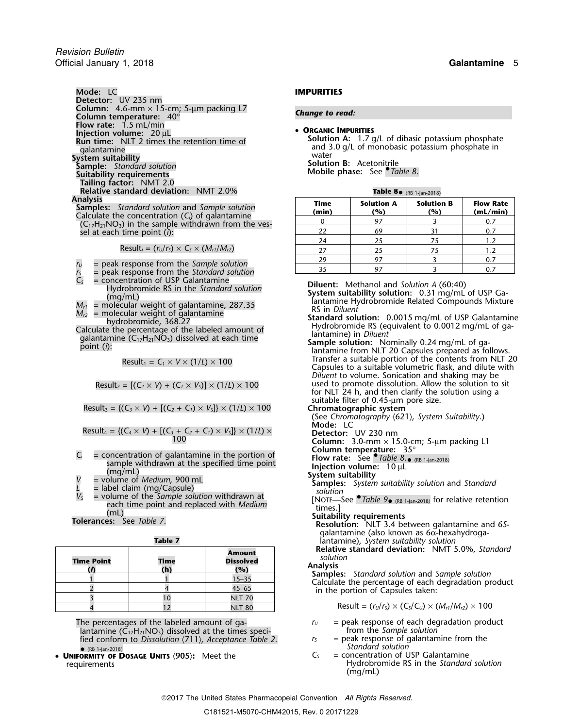**Mode:** LC **IMPURITIES Detector:** UV 235 nm **Column:** 4.6-mm × 15-cm; 5-µm packing L7 *Change to read:* **Column temperature:** 40° **Flow rate:** 1.5 mL/min **CREANIC IMPURITIES**<br> **CREANIC IMPURITIES**<br>
Run time: NLT 2 times the retention time of<br>
galantamine<br>
System suitability<br>
Sample: Standard solution<br>
Sample: Standard solution<br>
Sample: Standard solution<br>
Suitability require **Tailing factor:** NMT 2.0 **Relative standard deviation:** NMT 2.0%<br>**Analysis** 

**Samples:** *Standard solution and Sample solution*<br>Calculate the concentration (C<sub>i</sub>) of galantamine<br>(C<sub>17</sub>H<sub>21</sub>NO<sub>3</sub>) in the sample withdrawn from the vessel at each time point (i):

 $Result_i = (r_U/r_S) \times C_S \times (M_{r1}/M_{r2})$ 

- 
- 
- $r_U$  = peak response from the *Sample solution*<br> $r_S$  = peak response from the *Standard solution*<br> $C_S$  = concentration of USP Galantamine
- 
- 
- 

$$
Result_2 = [(C_2 \times V) + (C_1 \times V_5)] \times (1/L) \times 100
$$

suitable filter of 0.45-µm pore size. Result<sup>3</sup> = {(*C<sup>3</sup>* <sup>×</sup> *<sup>V</sup>*) + [(*C2*<sup>+</sup>*C1*) <sup>×</sup> *<sup>V</sup>S*]} × (1/*L*) ×<sup>100</sup> **Chromatographic system**

$$
Result_4 = \{ (C_4 \times V) + [(C_3 + C_2 + C_1) \times V_5] \} \times (1/L) \times
$$

- **Column temperature:** 35° *<sup>C</sup><sup>i</sup>* = concentration of galantamine in the portion of **Flow rate:** See •.*Table 8*. sample withdrawn at the specified time point<br>
(mg/mL)<br>  $V =$  volume of *Medium*, 900 mL<br>  $L =$  label claim (mg/Capsule)<br>  $V_s =$  volume of the *Sample solution* withdrawn at<br>  $V_s =$  volume of the *Sample solution* withdrawn at
- 
- 
- $V_s$  = volume of the *Sample solution* withdrawn at<br>each time point and replaced with *Medium*<br>(mL)<br>**Tolerances:** See *Table 7*.<br>**Tolerances:** See *Table 7*.<br>**Tolerances:** See *Table 7*.<br>**Tolerances:** See *Table 7*.<br>**Reso**

| <b>Time Point</b> | <b>Time</b><br>(h) | <b>Amount</b><br><b>Dissolved</b><br>(%) | <b>Relative standard deviation: NMT 5.0%, Standard</b><br>solution<br><b>Analysis</b>                         |
|-------------------|--------------------|------------------------------------------|---------------------------------------------------------------------------------------------------------------|
|                   |                    | $15 - 35$                                | <b>Samples:</b> Standard solution and Sample solution<br>Calculate the percentage of each degradation product |
|                   |                    | $45 - 65$                                | in the portion of Capsules taken:                                                                             |
|                   |                    | <b>NLT 70</b>                            |                                                                                                               |
|                   |                    | <b>NLT 80</b>                            | Result = $(r_U/r_S) \times (C_S/C_U) \times (M_{r1}/M_{r2}) \times 100$                                       |

The percentages of the labeled amount of ga-<br>lantamine (C<sub>17</sub>H<sub>21</sub>NO<sub>3</sub>) dissolved at the times speci-<br>from the Sample solution lantamine (C<sub>17</sub>H<sub>21</sub>NO<sub>3</sub>) dissolved at the times speci- from the *Sample solution* fied conform to *Dissolution* 〈711〉*, Acceptance Table 2*. *<sup>r</sup><sup>S</sup>* = peak response of galantamine from the

*Standard solution* • (RB 1-Jan-2018) • **<sup>U</sup>NIFORMITY OF DOSAGE UNITS** 〈**905**〉**:** Meet the *<sup>C</sup><sup>S</sup>* = concentration of USP Galantamine

**• ORGANIC IMPURITIES** 

| Table 8. (RB 1-Jan-2018) |  |
|--------------------------|--|
|--------------------------|--|

| Time<br>(min) | <b>Solution A</b><br>(%) | <b>Solution B</b><br>(%) | <b>Flow Rate</b><br>(mL/min) |
|---------------|--------------------------|--------------------------|------------------------------|
|               | 97                       |                          | 0.7                          |
| 22            | 69                       |                          | 0.7                          |
| 24            | 25                       | 75                       | 1.2                          |
| 27            | 25                       | 75                       | 1.2                          |
| 29            | 97                       |                          | 0.7                          |
|               |                          |                          |                              |

Example RS in the *Standard solution*<br>
Hydrobromide RS in the *Standard solution*<br>
(mg/mL)<br>  $M_{r1}$  = molecular weight of galantamine, 287.35<br>  $M_{r2}$  = molecular weight of galantamine<br>
hydrobromide, 368.27<br>
Calculate the

Result<sub>1</sub> =  $C_1 \times V \times (1/L) \times 100$  Transfer a suitable portion of the contents from NLT 20<br>Capsules to a suitable volumetric flask, and dilute with *Diluent* to volume. Sonication and shaking may be  $Result_2 = [(C_2 \times V) + (C_1 \times V_5)] \times (1/L) \times 100$  used to promote dissolution. Allow the solution to sit for NLT 24 h, and then clarify the solution using a

- (See *Chromatography* 〈621〉*, System Suitability*.)
- 

Detector: UV 230 nm<br>Column: 3.0-mm × 15.0-cm; 5-µm packing L1<br>Column temperature: 35°

Flow rate: See  $\bullet$  Table 8. $\bullet$  (RB 1-Jan-2018)

- 
- 

galantamine (also known as 6α-hexahydroga-

**Tantamine), System suitability solution**<br>**Relative standard deviation:** NMT 5.0%, Standard

- 
- 
- requirements Hydrobromide RS in the *Standard solution* (mg/mL)